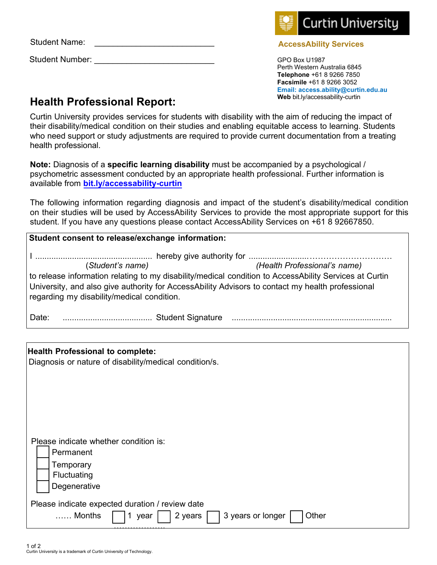Student Name:

Student Number:

health professional.

**Note:** Diagnosis of a **specific learning disability** must be accompanied by a psychological / psychometric assessment conducted by [an appropriate h](https://students.curtin.edu.au/personal-support/disability/)ealth professional. Further information is available from **bit.ly/accessability-curtin**

Curtin University provides services for students with disability with the aim of reducing the impact of their disability/medical condition on their studies and enabling equitable access to learning. Students who need support or study adjustments are required to provide current documentation from a treating

The following information regarding diagnosis and impact of the student's disability/medical condition on their studies will be used by AccessAbility Services to provide the most appropriate support for this student. If you have any questions please contact AccessAbility Services on +61 8 92667850.

| Student consent to release/exchange information:                                                                                                                                                                                                                                                             |                                                                                                                |  |  |  |
|--------------------------------------------------------------------------------------------------------------------------------------------------------------------------------------------------------------------------------------------------------------------------------------------------------------|----------------------------------------------------------------------------------------------------------------|--|--|--|
| (Health Professional's name)<br>(Student's name)<br>to release information relating to my disability/medical condition to AccessAbility Services at Curtin<br>University, and also give authority for AccessAbility Advisors to contact my health professional<br>regarding my disability/medical condition. |                                                                                                                |  |  |  |
| Date:                                                                                                                                                                                                                                                                                                        | Example of the Student Signature Manuscript Communications and the Student Signature Manuscript Communications |  |  |  |
|                                                                                                                                                                                                                                                                                                              |                                                                                                                |  |  |  |
| <b>Health Professional to complete:</b><br>Diagnosis or nature of disability/medical condition/s.                                                                                                                                                                                                            |                                                                                                                |  |  |  |

Please indicate whether condition is:

 Permanent Temporary

**Fluctuating** 

**Degenerative** 

Please indicate expected duration / review date

 …… Months 1 year 2 years 3 years or longer Other ——<br>……………………

## **Health Professional Report:**

GPO Box U1987 Perth Western Australia 6845 **Telephone** +61 8 9266 7850 **Facsimile** +61 8 9266 3052 **Email: access.ability@curtin.edu.au Web** bit.ly/accessability-curtin



## **AccessAbility Services**

1 of 2 Curtin University is a trademark of Curtin University of Technology.